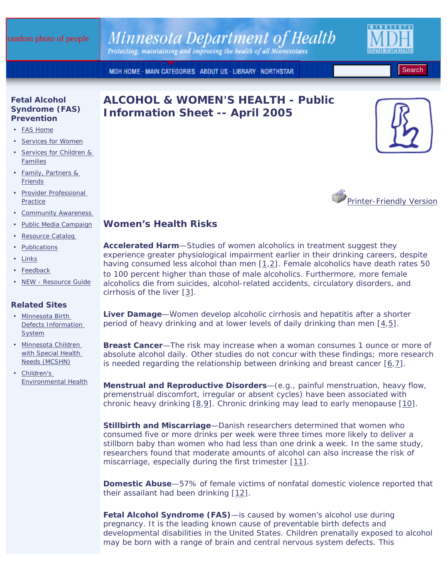# Minnesota Department of Health

Protecting, maintaining and improving the health of all Minnesotans

MDH HOME · MAIN CATEGORIES · ABOUT US · LIBRARY · NORTHSTAR

#### **Fetal Alcohol Syndrome (FAS) Prevention**

- FAS Home
- Services for Women
- Services for Children & Families
- Family, Partners & Friends
- Provider Professional **Practice**
- Community Awareness
- Public Media Campaign
- Resource Catalog
- Publications
- Links
- Feedback
- *NEW* Resource Guide

#### **Related Sites**

- Minnesota Birth Defects Information System
- Minnesota Children with Special Health Needs (MCSHN)
- Children's Environmental Health





**Search** 



## **Women's Health Risks**

**Accelerated Harm**—Studies of women alcoholics in treatment suggest they experience greater physiological impairment earlier in their drinking careers, despite having consumed less alcohol than men  $[1,2]$ . Female alcoholics have death rates 50 to 100 percent higher than those of male alcoholics. Furthermore, more female alcoholics die from suicides, alcohol-related accidents, circulatory disorders, and cirrhosis of the liver [3].

**Liver Damage**—Women develop alcoholic cirrhosis and hepatitis after a shorter period of heavy drinking and at lower levels of daily drinking than men [4,5].

**Breast Cancer**—The risk may increase when a woman consumes 1 ounce or more of absolute alcohol daily. Other studies do not concur with these findings; more research is needed regarding the relationship between drinking and breast cancer  $[6,7]$ .

**Menstrual and Reproductive Disorders**—(e.g., painful menstruation, heavy flow, premenstrual discomfort, irregular or absent cycles) have been associated with chronic heavy drinking [8,9]. Chronic drinking may lead to early menopause [10].

**Stillbirth and Miscarriage**—Danish researchers determined that women who consumed five or more drinks per week were three times more likely to deliver a stillborn baby than women who had less than one drink a week. In the same study, researchers found that moderate amounts of alcohol can also increase the risk of miscarriage, especially during the first trimester [11].

**Domestic Abuse**—57% of female victims of nonfatal domestic violence reported that their assailant had been drinking [12].

**Fetal Alcohol Syndrome (FAS)**—is caused by women's alcohol use during pregnancy. It is the leading known cause of preventable birth defects and developmental disabilities in the United States. Children prenatally exposed to alcohol may be born with a range of brain and central nervous system defects. This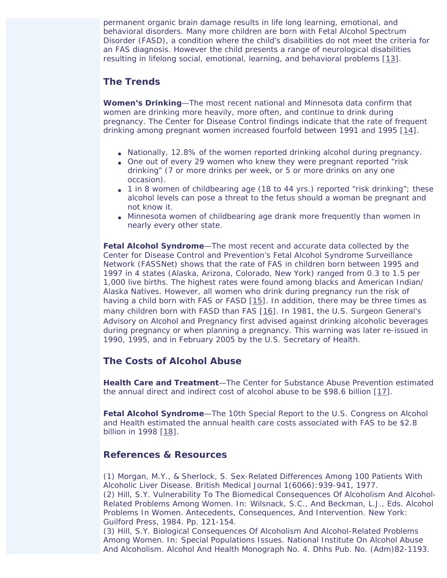permanent organic brain damage results in life long learning, emotional, and behavioral disorders. Many more children are born with Fetal Alcohol Spectrum Disorder (FASD), a condition where the child's disabilities do not meet the criteria for an FAS diagnosis. However the child presents a range of neurological disabilities resulting in lifelong social, emotional, learning, and behavioral problems [13].

### **The Trends**

**Women's Drinking**—The most recent national and Minnesota data confirm that women are drinking more heavily, more often, and continue to drink during pregnancy. The Center for Disease Control findings indicate that the rate of frequent drinking among pregnant women increased fourfold between 1991 and 1995 [14].

- Nationally, 12.8% of the women reported drinking alcohol during pregnancy.
- One out of every 29 women who knew they were pregnant reported "risk" drinking" (7 or more drinks per week, or 5 or more drinks on any one occasion).
- 1 in 8 women of childbearing age (18 to 44 yrs.) reported "risk drinking"; these alcohol levels can pose a threat to the fetus should a woman be pregnant and not know it.
- Minnesota women of childbearing age drank more frequently than women in nearly every other state.

**Fetal Alcohol Syndrome**—The most recent and accurate data collected by the Center for Disease Control and Prevention's Fetal Alcohol Syndrome Surveillance Network (FASSNet) shows that the rate of FAS in children born between 1995 and 1997 in 4 states (Alaska, Arizona, Colorado, New York) ranged from 0.3 to 1.5 per 1,000 live births. The highest rates were found among blacks and American Indian/ Alaska Natives. However, all women who drink during pregnancy run the risk of having a child born with FAS or FASD [15]. In addition, there may be three times as many children born with FASD than FAS [16]. In 1981, the U.S. Surgeon General's Advisory on Alcohol and Pregnancy first advised against drinking alcoholic beverages during pregnancy or when planning a pregnancy. This warning was later re-issued in 1990, 1995, and in February 2005 by the U.S. Secretary of Health.

## **The Costs of Alcohol Abuse**

**Health Care and Treatment**—The Center for Substance Abuse Prevention estimated the annual direct and indirect cost of alcohol abuse to be \$98.6 billion [17].

**Fetal Alcohol Syndrome**—The 10th Special Report to the U.S. Congress on Alcohol and Health estimated the annual health care costs associated with FAS to be \$2.8 billion in 1998 [18].

#### **References & Resources**

(1) Morgan, M.Y., & Sherlock, S. Sex-Related Differences Among 100 Patients With Alcoholic Liver Disease. British Medical Journal 1(6066):939-941, 1977. (2) Hill, S.Y. Vulnerability To The Biomedical Consequences Of Alcoholism And Alcohol-Related Problems Among Women. In: Wilsnack, S.C., And Beckman, L.J., Eds. Alcohol Problems In Women. Antecedents, Consequences, And Intervention. New York: Guilford Press, 1984. Pp. 121-154.

(3) Hill, S.Y. Biological Consequences Of Alcoholism And Alcohol-Related Problems Among Women. In: Special Populations Issues. National Institute On Alcohol Abuse And Alcoholism. Alcohol And Health Monograph No. 4. Dhhs Pub. No. (Adm)82-1193.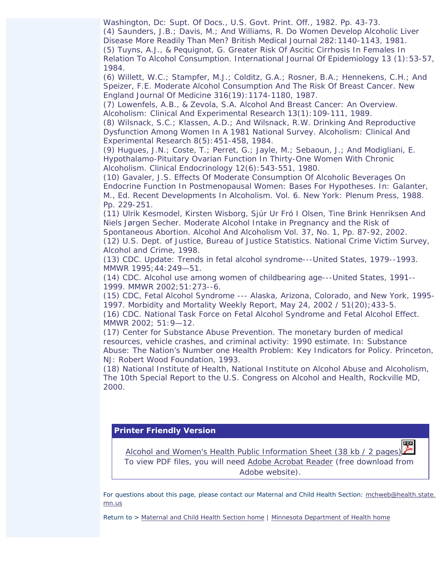Washington, Dc: Supt. Of Docs., U.S. Govt. Print. Off., 1982. Pp. 43-73. (4) Saunders, J.B.; Davis, M.; And Williams, R. Do Women Develop Alcoholic Liver Disease More Readily Than Men? British Medical Journal 282:1140-1143, 1981. (5) Tuyns, A.J., & Pequignot, G. Greater Risk Of Ascitic Cirrhosis In Females In Relation To Alcohol Consumption. International Journal Of Epidemiology 13 (1):53-57, 1984.

(6) Willett, W.C.; Stampfer, M.J.; Colditz, G.A.; Rosner, B.A.; Hennekens, C.H.; And Speizer, F.E. Moderate Alcohol Consumption And The Risk Of Breast Cancer. New England Journal Of Medicine 316(19):1174-1180, 1987.

(7) Lowenfels, A.B., & Zevola, S.A. Alcohol And Breast Cancer: An Overview. Alcoholism: Clinical And Experimental Research 13(1):109-111, 1989.

(8) Wilsnack, S.C.; Klassen, A.D.; And Wilsnack, R.W. Drinking And Reproductive Dysfunction Among Women In A 1981 National Survey. Alcoholism: Clinical And Experimental Research 8(5):451-458, 1984.

(9) Hugues, J.N.; Coste, T.; Perret, G.; Jayle, M.; Sebaoun, J.; And Modigliani, E. Hypothalamo-Pituitary Ovarian Function In Thirty-One Women With Chronic Alcoholism. Clinical Endocrinology 12(6):543-551, 1980.

(10) Gavaler, J.S. Effects Of Moderate Consumption Of Alcoholic Beverages On Endocrine Function In Postmenopausal Women: Bases For Hypotheses. In: Galanter, M., Ed. Recent Developments In Alcoholism. Vol. 6. New York: Plenum Press, 1988. Pp. 229-251.

(11) Ulrik Kesmodel, Kirsten Wisborg, Sjúr Ur Fró I Olsen, Tine Brink Henriksen And Niels Jørgen Secher. Moderate Alcohol Intake in Pregnancy and the Risk of Spontaneous Abortion. Alcohol And Alcoholism Vol. 37, No. 1, Pp. 87-92, 2002.

(12) U.S. Dept. of Justice, Bureau of Justice Statistics. National Crime Victim Survey, Alcohol and Crime, 1998.

(13) CDC. Update: Trends in fetal alcohol syndrome---United States, 1979--1993. MMWR 1995;44:249—51.

(14) CDC. Alcohol use among women of childbearing age---United States, 1991-- 1999. MMWR 2002;51:273--6.

(15) CDC, Fetal Alcohol Syndrome --- Alaska, Arizona, Colorado, and New York, 1995- 1997. Morbidity and Mortality Weekly Report, May 24, 2002 / 51(20);433-5.

(16) CDC. National Task Force on Fetal Alcohol Syndrome and Fetal Alcohol Effect. MMWR 2002; 51:9—12.

(17) Center for Substance Abuse Prevention. The monetary burden of medical resources, vehicle crashes, and criminal activity: 1990 estimate. In: Substance Abuse: The Nation's Number one Health Problem: Key Indicators for Policy. Princeton, NJ: Robert Wood Foundation, 1993.

(18) National Institute of Health, National Institute on Alcohol Abuse and Alcoholism, The 10th Special Report to the U.S. Congress on Alcohol and Health, Rockville MD, 2000.

#### **Printer Friendly Version**

Alcohol and Women's Health Public Information Sheet (38 kb / 2 pages) To view PDF files, you will need Adobe Acrobat Reader (free download from Adobe website).

For questions about this page, please contact our Maternal and Child Health Section: mchweb@health.state. mn.us

*Return to >* Maternal and Child Health Section home *|* Minnesota Department of Health home